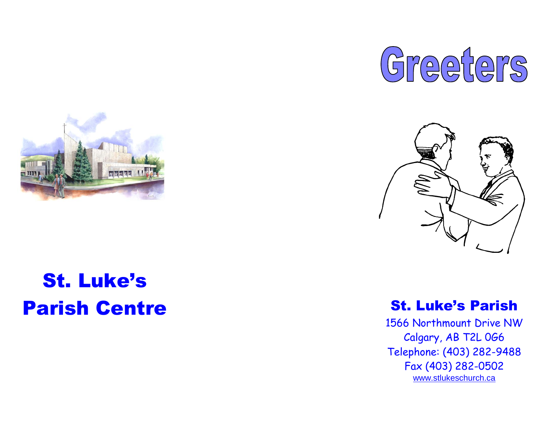



## St. Luke's **Parish Centre** St. Luke's Parish



1566 Northmount Drive NW Calgary, AB T2L 0G6 Telephone: (403) 282 -9488 Fax (403) 282 -0502 [www.stlukeschurch.ca](http://www.stlukeschurch.ca/)